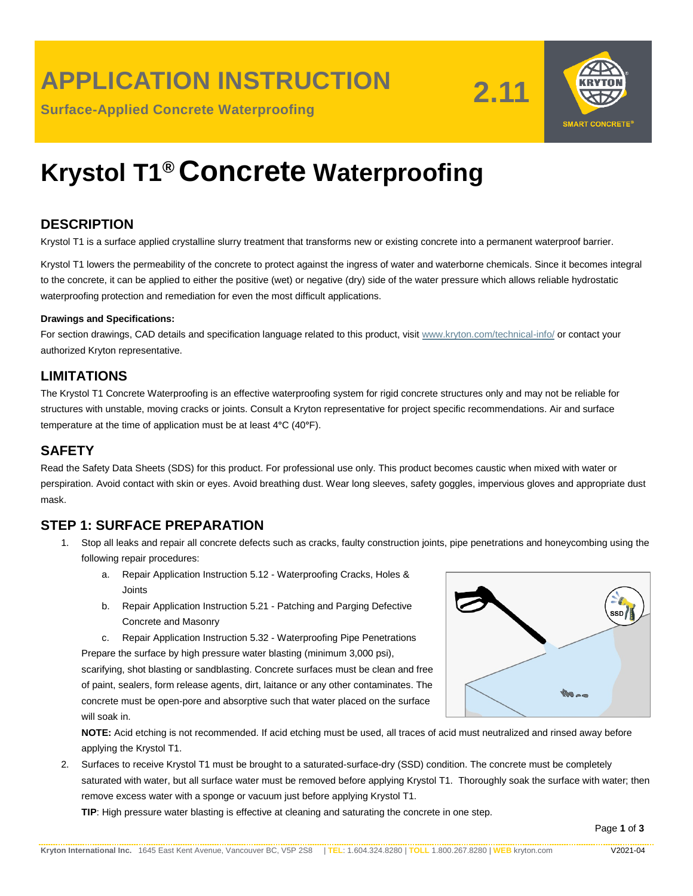## **APPLICATION INSTRUCTION**

**Surface-Applied Concrete Waterproofing**





# **Krystol T1® Concrete Waterproofing**

### **DESCRIPTION**

Krystol T1 is a surface applied crystalline slurry treatment that transforms new or existing concrete into a permanent waterproof barrier.

Krystol T1 lowers the permeability of the concrete to protect against the ingress of water and waterborne chemicals. Since it becomes integral to the concrete, it can be applied to either the positive (wet) or negative (dry) side of the water pressure which allows reliable hydrostatic waterproofing protection and remediation for even the most difficult applications.

#### **Drawings and Specifications:**

For section drawings, CAD details and specification language related to this product, visit [www.kryton.com/technical-info/](http://www.kryton.com/technical-info/) or contact your authorized Kryton representative.

#### **LIMITATIONS**

The Krystol T1 Concrete Waterproofing is an effective waterproofing system for rigid concrete structures only and may not be reliable for structures with unstable, moving cracks or joints. Consult a Kryton representative for project specific recommendations. Air and surface temperature at the time of application must be at least 4**°**C (40**°**F).

#### **SAFETY**

Read the Safety Data Sheets (SDS) for this product. For professional use only. This product becomes caustic when mixed with water or perspiration. Avoid contact with skin or eyes. Avoid breathing dust. Wear long sleeves, safety goggles, impervious gloves and appropriate dust mask.

### **STEP 1: SURFACE PREPARATION**

- 1. Stop all leaks and repair all concrete defects such as cracks, faulty construction joints, pipe penetrations and honeycombing using the following repair procedures:
	- a. Repair Application Instruction 5.12 Waterproofing Cracks, Holes & Joints
	- b. Repair Application Instruction 5.21 Patching and Parging Defective Concrete and Masonry
	- c. Repair Application Instruction 5.32 Waterproofing Pipe Penetrations Prepare the surface by high pressure water blasting (minimum 3,000 psi),

scarifying, shot blasting or sandblasting. Concrete surfaces must be clean and free of paint, sealers, form release agents, dirt, laitance or any other contaminates. The concrete must be open-pore and absorptive such that water placed on the surface will soak in.



**NOTE:** Acid etching is not recommended. If acid etching must be used, all traces of acid must neutralized and rinsed away before applying the Krystol T1.

2. Surfaces to receive Krystol T1 must be brought to a saturated-surface-dry (SSD) condition. The concrete must be completely saturated with water, but all surface water must be removed before applying Krystol T1. Thoroughly soak the surface with water; then remove excess water with a sponge or vacuum just before applying Krystol T1.

**TIP**: High pressure water blasting is effective at cleaning and saturating the concrete in one step.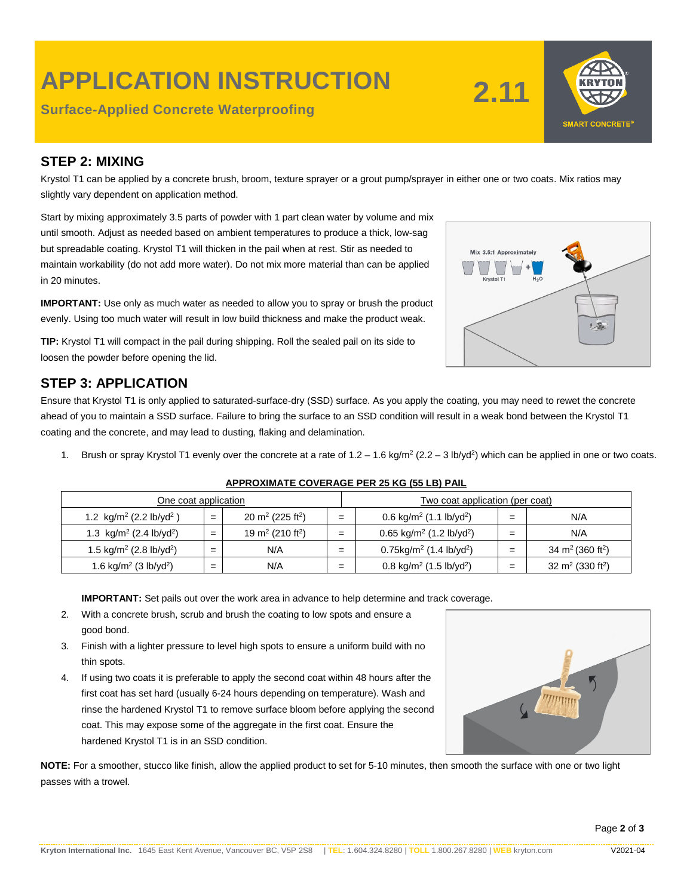# **APPLICATION INSTRUCTION**

#### **Surface-Applied Concrete Waterproofing**

#### **STEP 2: MIXING**

Krystol T1 can be applied by a concrete brush, broom, texture sprayer or a grout pump/sprayer in either one or two coats. Mix ratios may slightly vary dependent on application method.

Start by mixing approximately 3.5 parts of powder with 1 part clean water by volume and mix until smooth. Adjust as needed based on ambient temperatures to produce a thick, low-sag but spreadable coating. Krystol T1 will thicken in the pail when at rest. Stir as needed to maintain workability (do not add more water). Do not mix more material than can be applied in 20 minutes.

**IMPORTANT:** Use only as much water as needed to allow you to spray or brush the product evenly. Using too much water will result in low build thickness and make the product weak.

**TIP:** Krystol T1 will compact in the pail during shipping. Roll the sealed pail on its side to loosen the powder before opening the lid.

#### **STEP 3: APPLICATION**

Ensure that Krystol T1 is only applied to saturated-surface-dry (SSD) surface. As you apply the coating, you may need to rewet the concrete ahead of you to maintain a SSD surface. Failure to bring the surface to an SSD condition will result in a weak bond between the Krystol T1 coating and the concrete, and may lead to dusting, flaking and delamination.

1. Brush or spray Krystol T1 evenly over the concrete at a rate of 1.2 – 1.6 kg/m<sup>2</sup> (2.2 – 3 lb/yd<sup>2</sup>) which can be applied in one or two coats.

| One coat application                            |     |                                          |     | Two coat application (per coat)                  |  |                                          |
|-------------------------------------------------|-----|------------------------------------------|-----|--------------------------------------------------|--|------------------------------------------|
| 1.2 kg/m <sup>2</sup> (2.2 lb/yd <sup>2</sup> ) | $=$ | 20 m <sup>2</sup> (225 ft <sup>2</sup> ) | $=$ | 0.6 kg/m <sup>2</sup> (1.1 lb/yd <sup>2</sup> )  |  | N/A                                      |
| 1.3 kg/m <sup>2</sup> (2.4 lb/yd <sup>2</sup> ) | =   | 19 m <sup>2</sup> (210 ft <sup>2</sup> ) | $=$ | 0.65 kg/m <sup>2</sup> (1.2 lb/yd <sup>2</sup> ) |  | N/A                                      |
| 1.5 kg/m <sup>2</sup> (2.8 lb/yd <sup>2</sup> ) | $=$ | N/A                                      | $=$ | 0.75kg/m <sup>2</sup> (1.4 lb/yd <sup>2</sup> )  |  | 34 m <sup>2</sup> (360 ft <sup>2</sup> ) |
| 1.6 kg/m <sup>2</sup> (3 lb/yd <sup>2</sup> )   | $=$ | N/A                                      | $=$ | 0.8 kg/m <sup>2</sup> (1.5 lb/yd <sup>2</sup> )  |  | 32 m <sup>2</sup> (330 ft <sup>2</sup> ) |

#### **APPROXIMATE COVERAGE PER 25 KG (55 LB) PAIL**

**IMPORTANT:** Set pails out over the work area in advance to help determine and track coverage.

- 2. With a concrete brush, scrub and brush the coating to low spots and ensure a good bond.
- 3. Finish with a lighter pressure to level high spots to ensure a uniform build with no thin spots.
- 4. If using two coats it is preferable to apply the second coat within 48 hours after the first coat has set hard (usually 6-24 hours depending on temperature). Wash and rinse the hardened Krystol T1 to remove surface bloom before applying the second coat. This may expose some of the aggregate in the first coat. Ensure the hardened Krystol T1 is in an SSD condition.

**NOTE:** For a smoother, stucco like finish, allow the applied product to set for 5-10 minutes, then smooth the surface with one or two light passes with a trowel.





**2.11**